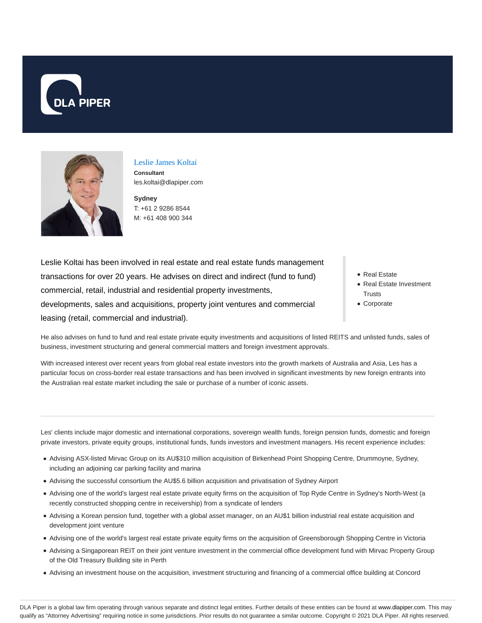



#### Leslie James Koltai **Consultant**

les.koltai@dlapiper.com

**Sydney** T: +61 2 9286 8544 M: +61 408 900 344

Leslie Koltai has been involved in real estate and real estate funds management transactions for over 20 years. He advises on direct and indirect (fund to fund) commercial, retail, industrial and residential property investments, developments, sales and acquisitions, property joint ventures and commercial leasing (retail, commercial and industrial).

- Real Estate
- Real Estate Investment **Trusts**
- Corporate

He also advises on fund to fund and real estate private equity investments and acquisitions of listed REITS and unlisted funds, sales of business, investment structuring and general commercial matters and foreign investment approvals.

With increased interest over recent years from global real estate investors into the growth markets of Australia and Asia, Les has a particular focus on cross-border real estate transactions and has been involved in significant investments by new foreign entrants into the Australian real estate market including the sale or purchase of a number of iconic assets.

Les' clients include major domestic and international corporations, sovereign wealth funds, foreign pension funds, domestic and foreign private investors, private equity groups, institutional funds, funds investors and investment managers. His recent experience includes:

- Advising ASX-listed Mirvac Group on its AU\$310 million acquisition of Birkenhead Point Shopping Centre, Drummoyne, Sydney, including an adjoining car parking facility and marina
- Advising the successful consortium the AU\$5.6 billion acquisition and privatisation of Sydney Airport
- Advising one of the world's largest real estate private equity firms on the acquisition of Top Ryde Centre in Sydney's North-West (a recently constructed shopping centre in receivership) from a syndicate of lenders
- Advising a Korean pension fund, together with a global asset manager, on an AU\$1 billion industrial real estate acquisition and development joint venture
- Advising one of the world's largest real estate private equity firms on the acquisition of Greensborough Shopping Centre in Victoria
- Advising a Singaporean REIT on their joint venture investment in the commercial office development fund with Mirvac Property Group of the Old Treasury Building site in Perth
- Advising an investment house on the acquisition, investment structuring and financing of a commercial office building at Concord